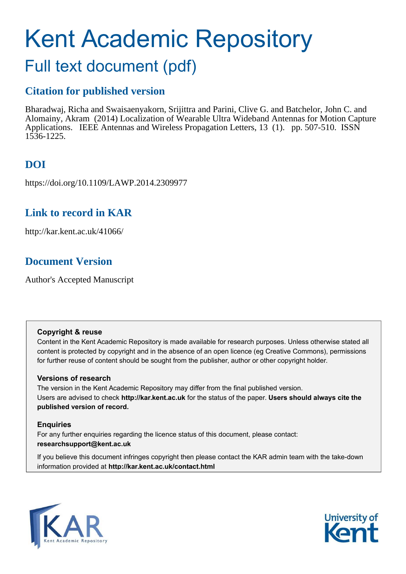# Kent Academic Repository Full text document (pdf)

### **Citation for published version**

Bharadwaj, Richa and Swaisaenyakorn, Srijittra and Parini, Clive G. and Batchelor, John C. and Alomainy, Akram (2014) Localization of Wearable Ultra Wideband Antennas for Motion Capture Applications. IEEE Antennas and Wireless Propagation Letters, 13 (1). pp. 507-510. ISSN 1536-1225.

### **DOI**

https://doi.org/10.1109/LAWP.2014.2309977

### **Link to record in KAR**

http://kar.kent.ac.uk/41066/

### **Document Version**

Author's Accepted Manuscript

### **Copyright & reuse**

Content in the Kent Academic Repository is made available for research purposes. Unless otherwise stated all content is protected by copyright and in the absence of an open licence (eg Creative Commons), permissions for further reuse of content should be sought from the publisher, author or other copyright holder.

### **Versions of research**

The version in the Kent Academic Repository may differ from the final published version. Users are advised to check **http://kar.kent.ac.uk** for the status of the paper. **Users should always cite the published version of record.**

### **Enquiries**

For any further enquiries regarding the licence status of this document, please contact: **researchsupport@kent.ac.uk**

If you believe this document infringes copyright then please contact the KAR admin team with the take-down information provided at **http://kar.kent.ac.uk/contact.html**



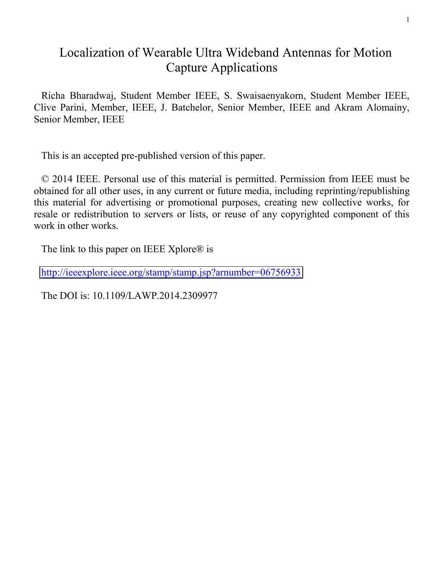### Localization of Wearable Ultra Wideband Antennas for Motion Capture Applications

Richa Bharadwaj, Student Member IEEE, S. Swaisaenyakorn, Student Member IEEE, Clive Parini, Member, IEEE, J. Batchelor, Senior Member, IEEE and Akram Alomainy, Senior Member, IEEE

This is an accepted pre-published version of this paper.

© 2014 IEEE. Personal use of this material is permitted. Permission from IEEE must be obtained for all other uses, in any current or future media, including reprinting/republishing this material for advertising or promotional purposes, creating new collective works, for resale or redistribution to servers or lists, or reuse of any copyrighted component of this work in other works.

The link to this paper on IEEE Xplore $\mathbb{R}$  is

<http://ieeexplore.ieee.org/stamp/stamp.jsp?arnumber=06756933>

The DOI is: 10.1109/LAWP.2014.2309977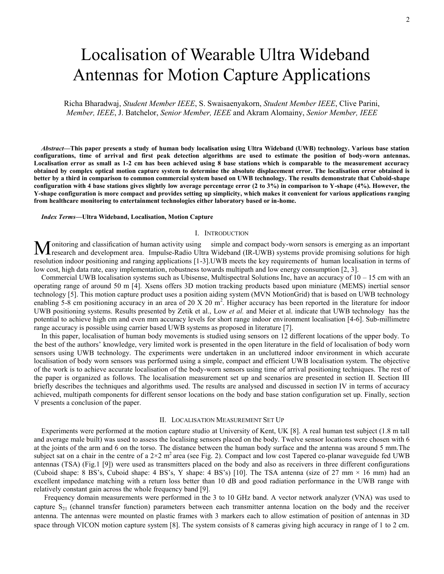## Localisation of Wearable Ultra Wideband Antennas for Motion Capture Applications

Richa Bharadwaj, *Student Member IEEE*, S. Swaisaenyakorn, *Student Member IEEE*, Clive Parini, *Member, IEEE*, J. Batchelor, *Senior Member, IEEE* and Akram Alomainy, *Senior Member, IEEE*

*Abstract***—This paper presents a study of human body localisation using Ultra Wideband (UWB) technology. Various base station configurations, time of arrival and first peak detection algorithms are used to estimate the position of body-worn antennas. Localisation error as small as 1-2 cm has been achieved using 8 base stations which is comparable to the measurement accuracy obtained by complex optical motion capture system to determine the absolute displacement error. The localisation error obtained is better by a third in comparison to common commercial system based on UWB technology. The results demonstrate that Cuboid-shape configuration with 4 base stations gives slightly low average percentage error (2 to 3%) in comparison to Y-shape (4%). However, the Y-shape configuration is more compact and provides setting up simplicity, which makes it convenient for various applications ranging from healthcare monitoring to entertainment technologies either laboratory based or in-home.** 

*Index Terms***—Ultra Wideband, Localisation, Motion Capture** 

#### I. INTRODUCTION

onitoring and classification of human activity using simple and compact body-worn sensors is emerging as an important Monitoring and classification of human activity using simple and compact body-worn sensors is emerging as an important research and development area. Impulse-Radio Ultra Wideband (IR-UWB) systems provide promising solution resolution indoor positioning and ranging applications [1-3].UWB meets the key requirements of human localisation in terms of low cost, high data rate, easy implementation, robustness towards multipath and low energy consumption [2, 3].

Commercial UWB localisation systems such as Ubisense, Multispectral Solutions Inc, have an accuracy of 10 – 15 cm with an operating range of around 50 m [4]. Xsens offers 3D motion tracking products based upon miniature (MEMS) inertial sensor technology [5]. This motion capture product uses a position aiding system (MVN MotionGrid) that is based on UWB technology enabling 5-8 cm positioning accuracy in an area of 20 X 20  $m^2$ . Higher accuracy has been reported in the literature for indoor UWB positioning systems. Results presented by Zetik et al., Low *et al.* and Meier et al. indicate that UWB technology has the potential to achieve high cm and even mm accuracy levels for short range indoor environment localisation [4-6]. Sub-millimetre range accuracy is possible using carrier based UWB systems as proposed in literature [7].

In this paper, localisation of human body movements is studied using sensors on 12 different locations of the upper body. To the best of the authors' knowledge, very limited work is presented in the open literature in the field of localisation of body worn sensors using UWB technology. The experiments were undertaken in an uncluttered indoor environment in which accurate localisation of body worn sensors was performed using a simple, compact and efficient UWB localisation system. The objective of the work is to achieve accurate localisation of the body-worn sensors using time of arrival positioning techniques. The rest of the paper is organized as follows. The localisation measurement set up and scenarios are presented in section II. Section III briefly describes the techniques and algorithms used. The results are analysed and discussed in section IV in terms of accuracy achieved, multipath components for different sensor locations on the body and base station configuration set up. Finally, section V presents a conclusion of the paper.

#### II. LOCALISATION MEASUREMENT SET UP

Experiments were performed at the motion capture studio at University of Kent, UK [8]. A real human test subject (1.8 m tall and average male built) was used to assess the localising sensors placed on the body. Twelve sensor locations were chosen with 6 at the joints of the arm and 6 on the torso. The distance between the human body surface and the antenna was around 5 mm.The subject sat on a chair in the centre of a  $2\times2$  m<sup>2</sup> area (see Fig. 2). Compact and low cost Tapered co-planar waveguide fed UWB antennas (TSA) (Fig.1 [9]) were used as transmitters placed on the body and also as receivers in three different configurations (Cuboid shape: 8 BS's, Cuboid shape: 4 BS's, Y shape: 4 BS's) [10]. The TSA antenna (size of 27 mm  $\times$  16 mm) had an excellent impedance matching with a return loss better than 10 dB and good radiation performance in the UWB range with relatively constant gain across the whole frequency band [9].

Frequency domain measurements were performed in the 3 to 10 GHz band. A vector network analyzer (VNA) was used to capture  $S_{21}$  (channel transfer function) parameters between each transmitter antenna location on the body and the receiver antenna. The antennas were mounted on plastic frames with 3 markers each to allow estimation of position of antennas in 3D space through VICON motion capture system [8]. The system consists of 8 cameras giving high accuracy in range of 1 to 2 cm.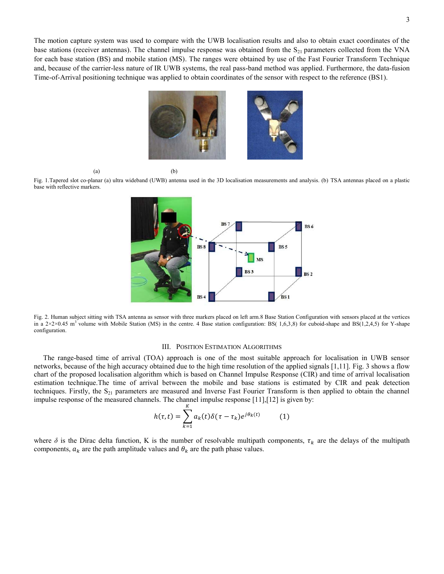The motion capture system was used to compare with the UWB localisation results and also to obtain exact coordinates of the base stations (receiver antennas). The channel impulse response was obtained from the  $S_{21}$  parameters collected from the VNA for each base station (BS) and mobile station (MS). The ranges were obtained by use of the Fast Fourier Transform Technique and, because of the carrier-less nature of IR UWB systems, the real pass-band method was applied. Furthermore, the data-fusion Time-of-Arrival positioning technique was applied to obtain coordinates of the sensor with respect to the reference (BS1).



Fig. 1.Tapered slot co-planar (a) ultra wideband (UWB) antenna used in the 3D localisation measurements and analysis. (b) TSA antennas placed on a plastic base with reflective markers.

 $(a)$  (b)



Fig. 2. Human subject sitting with TSA antenna as sensor with three markers placed on left arm.8 Base Station Configuration with sensors placed at the vertices in a  $2\times2\times0.45$  m<sup>3</sup> volume with Mobile Station (MS) in the centre. 4 Base station configuration: BS( 1,6,3,8) for cuboid-shape and BS(1,2,4,5) for Y-shape configuration.

### III. POSITION ESTIMATION ALGORITHMS

 The range-based time of arrival (TOA) approach is one of the most suitable approach for localisation in UWB sensor networks, because of the high accuracy obtained due to the high time resolution of the applied signals [1,11]. Fig. 3 shows a flow chart of the proposed localisation algorithm which is based on Channel Impulse Response (CIR) and time of arrival localisation estimation technique.The time of arrival between the mobile and base stations is estimated by CIR and peak detection techniques. Firstly, the  $S_{21}$  parameters are measured and Inverse Fast Fourier Transform is then applied to obtain the channel impulse response of the measured channels. The channel impulse response [11], [12] is given by:

$$
h(\tau, t) = \sum_{k=1}^{K} a_k(t) \delta(\tau - \tau_k) e^{j\theta_k(t)} \tag{1}
$$

where  $\delta$  is the Dirac delta function, K is the number of resolvable multipath components,  $\tau_k$  are the delays of the multipath components,  $a_k$  are the path amplitude values and  $\theta_k$  are the path phase values.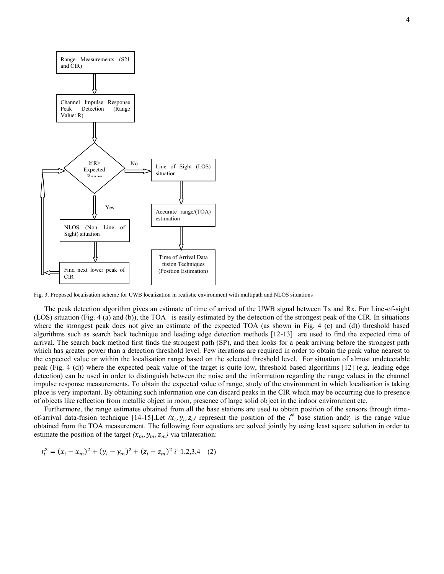

Fig. 3. Proposed localisation scheme for UWB localization in realistic environment with multipath and NLOS situations

The peak detection algorithm gives an estimate of time of arrival of the UWB signal between Tx and Rx. For Line-of-sight (LOS) situation (Fig. 4 (a) and (b)), the TOA is easily estimated by the detection of the strongest peak of the CIR. In situations where the strongest peak does not give an estimate of the expected TOA (as shown in Fig. 4 (c) and (d)) threshold based algorithms such as search back technique and leading edge detection methods [12-13] are used to find the expected time of arrival. The search back method first finds the strongest path (SP), and then looks for a peak arriving before the strongest path which has greater power than a detection threshold level. Few iterations are required in order to obtain the peak value nearest to the expected value or within the localisation range based on the selected threshold level. For situation of almost undetectable peak (Fig. 4 (d)) where the expected peak value of the target is quite low, threshold based algorithms [12] (e.g. leading edge detection) can be used in order to distinguish between the noise and the information regarding the range values in the channel impulse response measurements. To obtain the expected value of range, study of the environment in which localisation is taking place is very important. By obtaining such information one can discard peaks in the CIR which may be occurring due to presence of objects like reflection from metallic object in room, presence of large solid object in the indoor environment etc.

Furthermore, the range estimates obtained from all the base stations are used to obtain position of the sensors through timeof-arrival data-fusion technique [14-15]. Let  $(x_i, y_i, z_i)$  represent the position of the *i*<sup>th</sup> base station and  $r_i$  is the range value obtained from the TOA measurement. The following four equations are solved jointly by using least square solution in order to estimate the position of the target  $(x_m, y_m, z_m)$  via trilateration:

$$
r_i^2 = (x_i - x_m)^2 + (y_i - y_m)^2 + (z_i - z_m)^2 \ i = 1, 2, 3, 4 \quad (2)
$$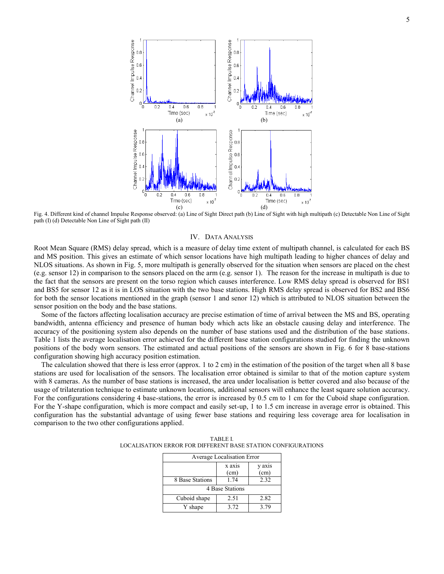

Fig. 4. Different kind of channel Impulse Response observed: (a) Line of Sight Direct path (b) Line of Sight with high multipath (c) Detectable Non Line of Sight path (I) (d) Detectable Non Line of Sight path (II)

#### IV. DATA ANALYSIS

Root Mean Square (RMS) delay spread, which is a measure of delay time extent of multipath channel, is calculated for each BS and MS position. This gives an estimate of which sensor locations have high multipath leading to higher chances of delay and NLOS situations. As shown in Fig. 5, more multipath is generally observed for the situation when sensors are placed on the chest (e.g. sensor 12) in comparison to the sensors placed on the arm (e.g. sensor 1). The reason for the increase in multipath is due to the fact that the sensors are present on the torso region which causes interference. Low RMS delay spread is observed for BS1 and BS5 for sensor 12 as it is in LOS situation with the two base stations. High RMS delay spread is observed for BS2 and BS6 for both the sensor locations mentioned in the graph (sensor 1 and senor 12) which is attributed to NLOS situation between the sensor position on the body and the base stations.

Some of the factors affecting localisation accuracy are precise estimation of time of arrival between the MS and BS, operating bandwidth, antenna efficiency and presence of human body which acts like an obstacle causing delay and interference. The accuracy of the positioning system also depends on the number of base stations used and the distribution of the base stations. Table 1 lists the average localisation error achieved for the different base station configurations studied for finding the unknown positions of the body worn sensors. The estimated and actual positions of the sensors are shown in Fig. 6 for 8 base-stations configuration showing high accuracy position estimation.

The calculation showed that there is less error (approx. 1 to 2 cm) in the estimation of the position of the target when all 8 base stations are used for localisation of the sensors. The localisation error obtained is similar to that of the motion capture system with 8 cameras. As the number of base stations is increased, the area under localisation is better covered and also because of the usage of trilateration technique to estimate unknown locations, additional sensors will enhance the least square solution accuracy. For the configurations considering 4 base-stations, the error is increased by 0.5 cm to 1 cm for the Cuboid shape configuration. For the Y-shape configuration, which is more compact and easily set-up, 1 to 1.5 cm increase in average error is obtained. This configuration has the substantial advantage of using fewer base stations and requiring less coverage area for localisation in comparison to the two other configurations applied.

| Average Localisation Error |                |                |
|----------------------------|----------------|----------------|
|                            | x axis<br>(cm) | y axis<br>(cm) |
| 8 Base Stations            | 1.74           | 2.32           |
| 4 Base Stations            |                |                |
| Cuboid shape               | 2.51           | 2.82           |
| Y shape                    | 3.72           | 3.79           |

TABLE I. LOCALISATION ERROR FOR DIFFERENT BASE STATION CONFIGURATIONS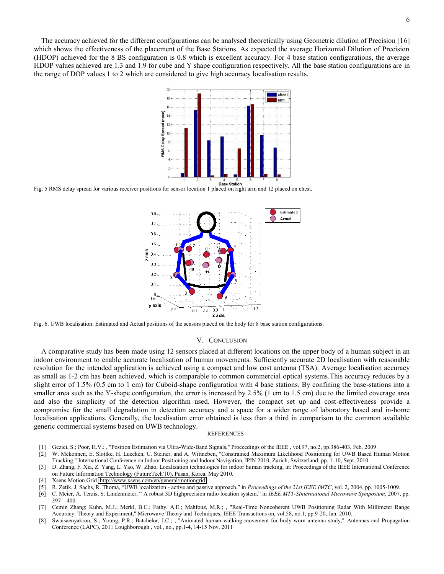The accuracy achieved for the different configurations can be analysed theoretically using Geometric dilution of Precision [16] which shows the effectiveness of the placement of the Base Stations. As expected the average Horizontal Dilution of Precision (HDOP) achieved for the 8 BS configuration is 0.8 which is excellent accuracy. For 4 base station configurations, the average HDOP values achieved are 1.3 and 1.9 for cube and Y shape configuration respectively. All the base station configurations are in the range of DOP values 1 to 2 which are considered to give high accuracy localisation results.



Fig. 5 RMS delay spread for various receiver positions for sensor location 1 placed on right arm and 12 placed on chest.



Fig. 6. UWB localisation: Estimated and Actual positions of the sensors placed on the body for 8 base station configurations.

#### V. CONCLUSION

A comparative study has been made using 12 sensors placed at different locations on the upper body of a human subject in an indoor environment to enable accurate localisation of human movements. Sufficiently accurate 2D localisation with reasonable resolution for the intended application is achieved using a compact and low cost antenna (TSA). Average localisation accuracy as small as 1-2 cm has been achieved, which is comparable to common commercial optical systems.This accuracy reduces by a slight error of 1.5% (0.5 cm to 1 cm) for Cuboid-shape configuration with 4 base stations. By confining the base-stations into a smaller area such as the Y-shape configuration, the error is increased by 2.5% (1 cm to 1.5 cm) due to the limited coverage area and also the simplicity of the detection algorithm used. However, the compact set up and cost-effectiveness provide a compromise for the small degradation in detection accuracy and a space for a wider range of laboratory based and in-home localisation applications. Generally, the localisation error obtained is less than a third in comparison to the common available generic commercial systems based on UWB technology.

#### **REFERENCES**

- [1] Gezici, S.; Poor, H.V.; , "Position Estimation via Ultra-Wide-Band Signals," Proceedings of the IEEE , vol.97, no.2, pp.386-403, Feb. 2009
- [2] W. Mekonnen, E. Slottke, H. Luecken, C. Steiner, and A. Wittneben, "Constrained Maximum Likelihood Positioning for UWB Based Human Motion Tracking," International Conference on Indoor Positioning and Indoor Navigation, IPIN 2010, Zurich, Switzerland, pp. 1-10, Sept. 2010
- [3] D. Zhang, F. Xia, Z. Yang, L. Yao, W. Zhao, Localization technologies for indoor human tracking, in: Proceedings of the IEEE International Conference on Future Information Technology (FutureTech'10), Pusan, Korea, May 2010.
- [4] Xsens Motion Grid<http://www.xsens.com/en/general/motiongrid>
- [5] R. Zetik, J. Sachs, R. Thomä, "UWB localization active and passive approach," in *Proceedings of the 21st IEEE IMTC*, vol. 2, 2004, pp. 1005-1009.
- [6] C. Meier, A. Terzis, S. Lindenmeier, " A robust 3D highprecision radio location system," in *IEEE MTT-SInternational Microwave Symposium*, 2007, pp.  $397 - 400.$
- [7] Cemin Zhang; Kuhn, M.J.; Merkl, B.C.; Fathy, A.E.; Mahfouz, M.R.; , "Real-Time Noncoherent UWB Positioning Radar With Millimeter Range Accuracy: Theory and Experiment," Microwave Theory and Techniques, IEEE Transactions on, vol.58, no.1, pp.9-20, Jan. 2010.
- [8] Swaisaenyakron, S.; Young, P.R.; Batchelor, J.C.; , "Animated human walking movement for body worn antenna study," Antennas and Propagation Conference (LAPC), 2011 Loughborough , vol., no., pp.1-4, 14-15 Nov. 2011